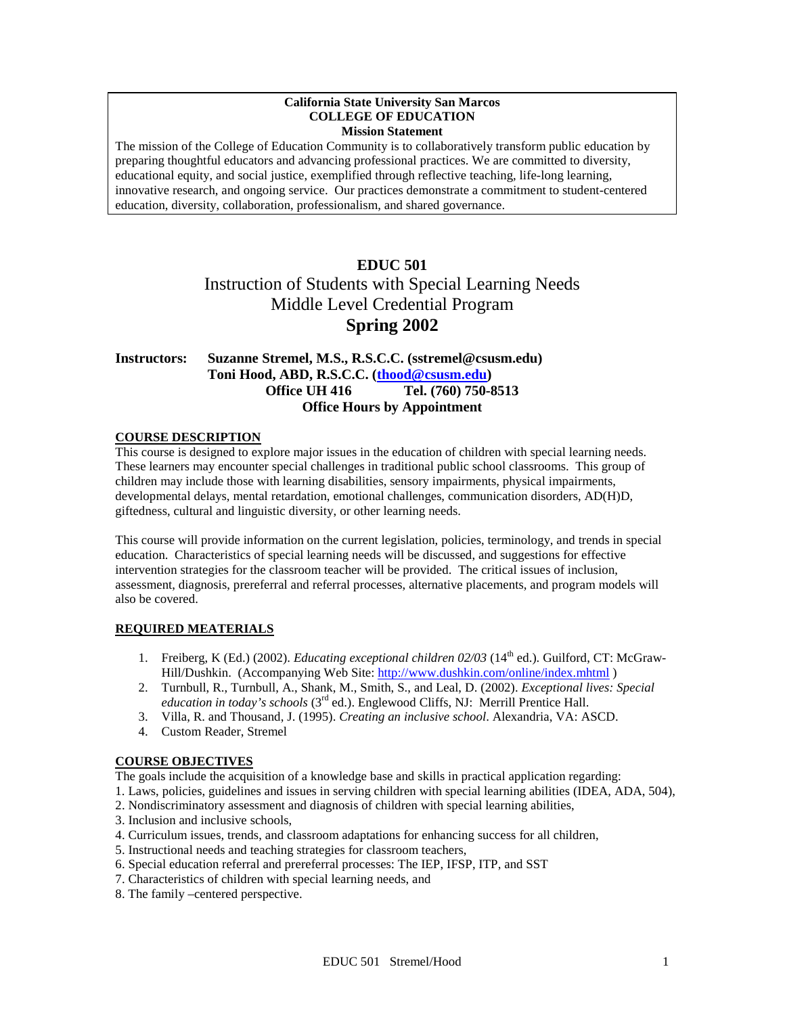#### **California State University San Marcos COLLEGE OF EDUCATION Mission Statement**

The mission of the College of Education Community is to collaboratively transform public education by preparing thoughtful educators and advancing professional practices. We are committed to diversity, educational equity, and social justice, exemplified through reflective teaching, life-long learning, innovative research, and ongoing service. Our practices demonstrate a commitment to student-centered education, diversity, collaboration, professionalism, and shared governance.

# **EDUC 501** Instruction of Students with Special Learning Needs Middle Level Credential Program **Spring 2002**

## **Instructors: Suzanne Stremel, M.S., R.S.C.C. (sstremel@csusm.edu) Toni Hood, ABD, R.S.C.C. [\(thood@csusm.edu\)](mailto:thood@csusm.edu) Office UH 416 Tel. (760) 750-8513 Office Hours by Appointment**

#### **COURSE DESCRIPTION**

This course is designed to explore major issues in the education of children with special learning needs. These learners may encounter special challenges in traditional public school classrooms. This group of children may include those with learning disabilities, sensory impairments, physical impairments, developmental delays, mental retardation, emotional challenges, communication disorders, AD(H)D, giftedness, cultural and linguistic diversity, or other learning needs.

This course will provide information on the current legislation, policies, terminology, and trends in special education. Characteristics of special learning needs will be discussed, and suggestions for effective intervention strategies for the classroom teacher will be provided. The critical issues of inclusion, assessment, diagnosis, prereferral and referral processes, alternative placements, and program models will also be covered.

#### **REQUIRED MEATERIALS**

- 1. Freiberg, K (Ed.) (2002). *Educating exceptional children 02/03* (14th ed.). Guilford, CT: McGraw-Hill/Dushkin. (Accompanying Web Site:<http://www.dushkin.com/online/index.mhtml> )
- 2. Turnbull, R., Turnbull, A., Shank, M., Smith, S., and Leal, D. (2002). *Exceptional lives: Special education in today's schools* (3<sup>rd</sup> ed.). Englewood Cliffs, NJ: Merrill Prentice Hall.
- 3. Villa, R. and Thousand, J. (1995). *Creating an inclusive school*. Alexandria, VA: ASCD.
- 4. Custom Reader, Stremel

#### **COURSE OBJECTIVES**

The goals include the acquisition of a knowledge base and skills in practical application regarding:

1. Laws, policies, guidelines and issues in serving children with special learning abilities (IDEA, ADA, 504),

- 2. Nondiscriminatory assessment and diagnosis of children with special learning abilities,
- 3. Inclusion and inclusive schools,
- 4. Curriculum issues, trends, and classroom adaptations for enhancing success for all children,
- 5. Instructional needs and teaching strategies for classroom teachers,
- 6. Special education referral and prereferral processes: The IEP, IFSP, ITP, and SST
- 7. Characteristics of children with special learning needs, and
- 8. The family –centered perspective.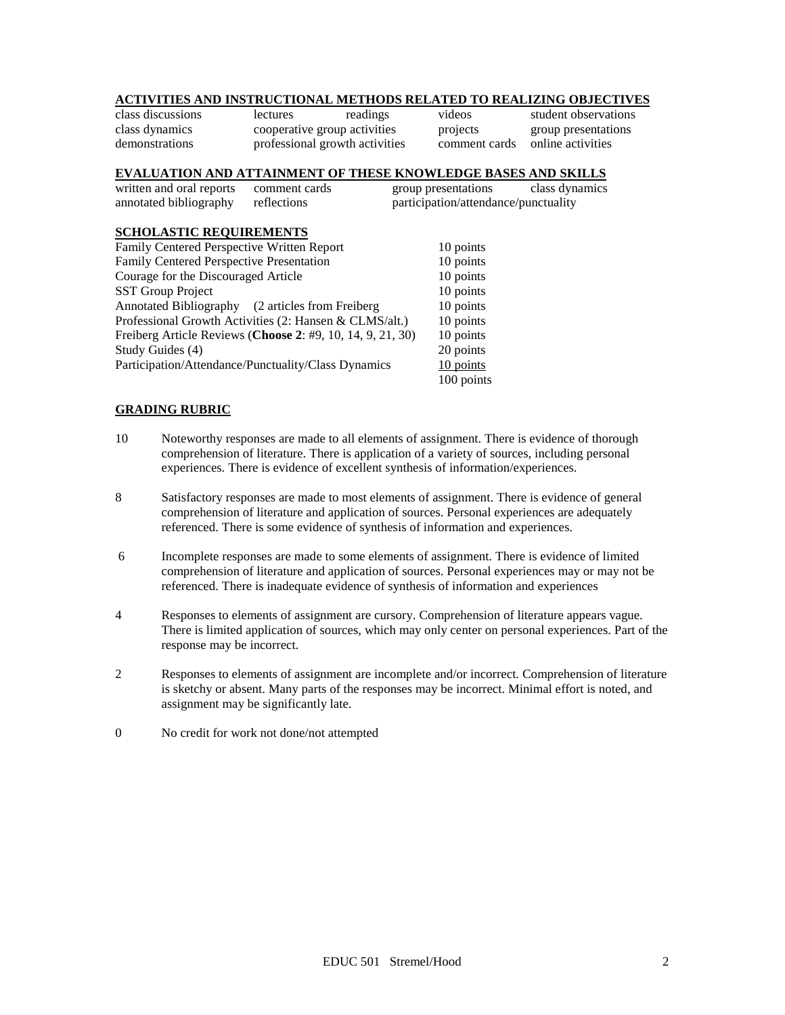## **ACTIVITIES AND INSTRUCTIONAL METHODS RELATED TO REALIZING OBJECTIVES**

class discussions lectures readings videos student observations class dynamics cooperative group activities projects group presentations demonstrations professional growth activities comment cards online activities

## **EVALUATION AND ATTAINMENT OF THESE KNOWLEDGE BASES AND SKILLS**

| written and oral reports comment cards |             | group presentations                  | class dynamics |
|----------------------------------------|-------------|--------------------------------------|----------------|
| annotated bibliography                 | reflections | participation/attendance/punctuality |                |
| COUAL LODIA BRAHIBB UBLIDE             |             |                                      |                |

#### **SCHOLASTIC REQUIREMENTS** Family Centered Perspective Written Report 10 points Family Centered Perspective Presentation 10 points<br>
Courage for the Discouraged Article 10 points Courage for the Discouraged Article 10 points<br>SST Group Project 10 points **SST Group Project** Annotated Bibliography (2 articles from Freiberg 10 points Professional Growth Activities (2: Hansen & CLMS/alt.) 10 points Freiberg Article Reviews (**Choose 2**: #9, 10, 14, 9, 21, 30) 10 points Study Guides (4) 20 points Participation/Attendance/Punctuality/Class Dynamics 10 points 100 points

#### **GRADING RUBRIC**

- 10 Noteworthy responses are made to all elements of assignment. There is evidence of thorough comprehension of literature. There is application of a variety of sources, including personal experiences. There is evidence of excellent synthesis of information/experiences.
- 8 Satisfactory responses are made to most elements of assignment. There is evidence of general comprehension of literature and application of sources. Personal experiences are adequately referenced. There is some evidence of synthesis of information and experiences.
- 6 Incomplete responses are made to some elements of assignment. There is evidence of limited comprehension of literature and application of sources. Personal experiences may or may not be referenced. There is inadequate evidence of synthesis of information and experiences
- 4 Responses to elements of assignment are cursory. Comprehension of literature appears vague. There is limited application of sources, which may only center on personal experiences. Part of the response may be incorrect.
- 2 Responses to elements of assignment are incomplete and/or incorrect. Comprehension of literature is sketchy or absent. Many parts of the responses may be incorrect. Minimal effort is noted, and assignment may be significantly late.
- 0 No credit for work not done/not attempted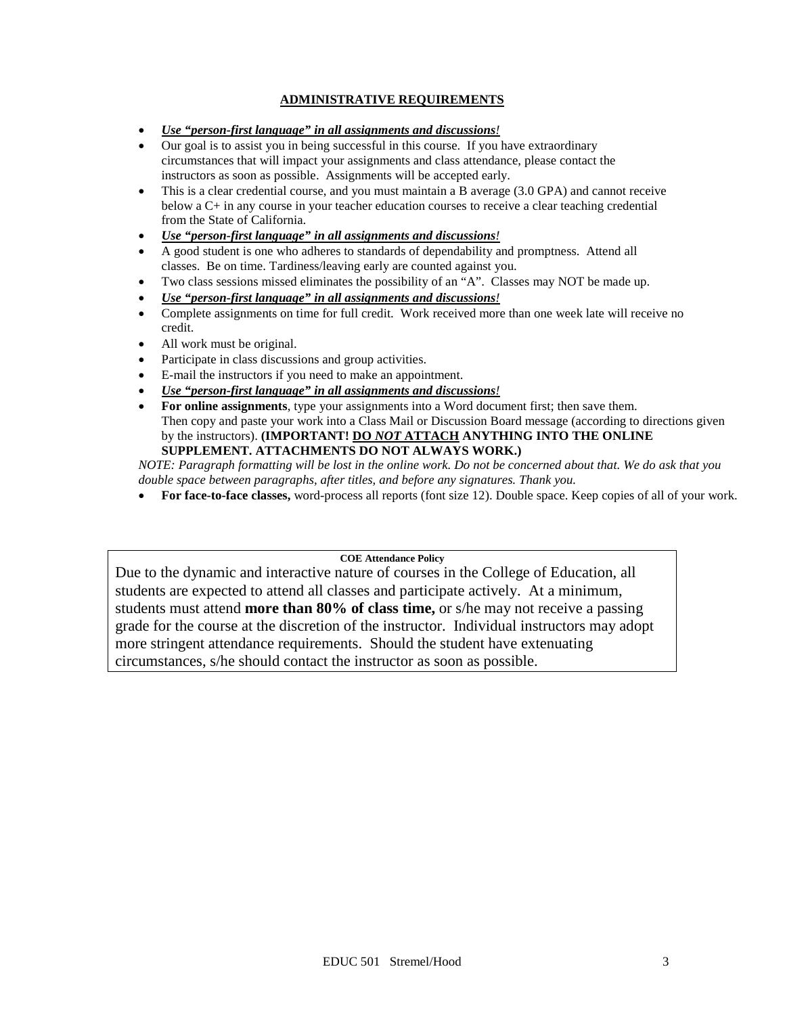## **ADMINISTRATIVE REQUIREMENTS**

- *Use "person-first language" in all assignments and discussions!*
- Our goal is to assist you in being successful in this course. If you have extraordinary circumstances that will impact your assignments and class attendance, please contact the instructors as soon as possible. Assignments will be accepted early.
- This is a clear credential course, and you must maintain a B average (3.0 GPA) and cannot receive below a C+ in any course in your teacher education courses to receive a clear teaching credential from the State of California.
- *Use "person-first language" in all assignments and discussions!*
- A good student is one who adheres to standards of dependability and promptness. Attend all classes. Be on time. Tardiness/leaving early are counted against you.
- Two class sessions missed eliminates the possibility of an "A". Classes may NOT be made up.
- *Use "person-first language" in all assignments and discussions!*
- Complete assignments on time for full credit. Work received more than one week late will receive no credit.
- All work must be original.
- Participate in class discussions and group activities.
- E-mail the instructors if you need to make an appointment.
- *Use "person-first language" in all assignments and discussions!*
- **For online assignments**, type your assignments into a Word document first; then save them. Then copy and paste your work into a Class Mail or Discussion Board message (according to directions given by the instructors). **(IMPORTANT! DO** *NOT* **ATTACH ANYTHING INTO THE ONLINE SUPPLEMENT. ATTACHMENTS DO NOT ALWAYS WORK.)**

*NOTE: Paragraph formatting will be lost in the online work. Do not be concerned about that. We do ask that you double space between paragraphs, after titles, and before any signatures. Thank you.*

• **For face-to-face classes,** word-process all reports (font size 12). Double space. Keep copies of all of your work.

#### **COE Attendance Policy**

Due to the dynamic and interactive nature of courses in the College of Education, all students are expected to attend all classes and participate actively. At a minimum, students must attend **more than 80% of class time,** or s/he may not receive a passing grade for the course at the discretion of the instructor. Individual instructors may adopt more stringent attendance requirements. Should the student have extenuating circumstances, s/he should contact the instructor as soon as possible.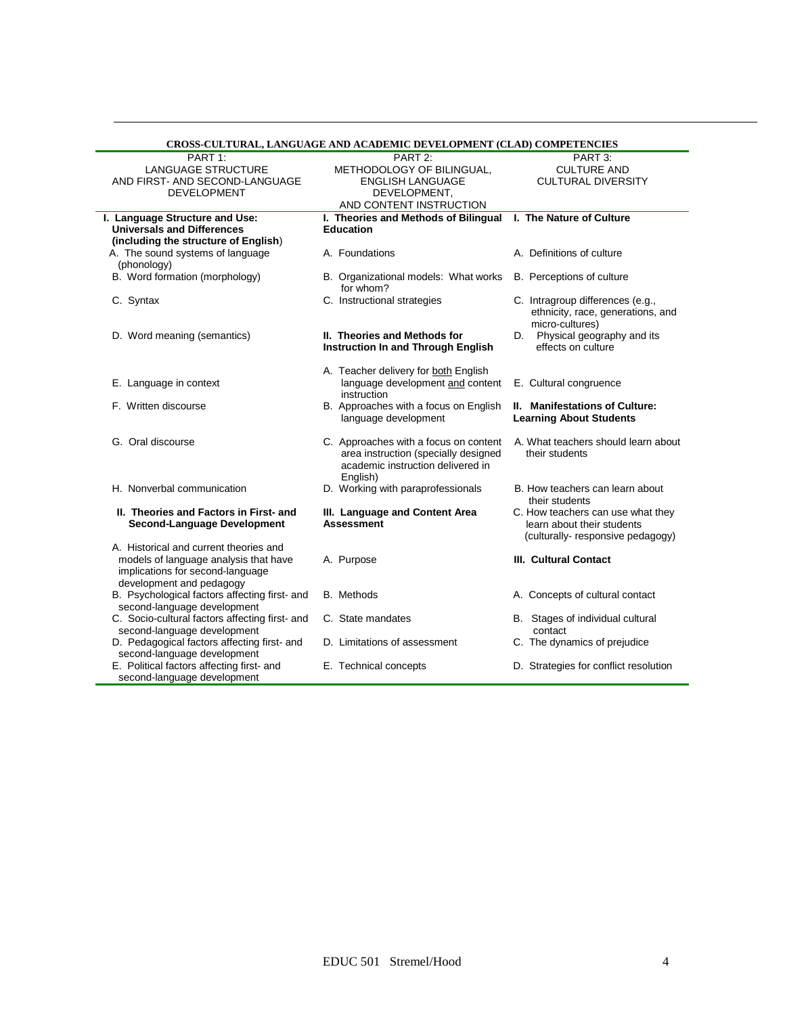|                                                | CROSS-CULTURAL, LANGUAGE AND ACADEMIC DEVELOPMENT (CLAD) COMPETENCIES         |                                       |
|------------------------------------------------|-------------------------------------------------------------------------------|---------------------------------------|
| PART 1:                                        | PART <sub>2:</sub>                                                            | PART 3:                               |
| LANGUAGE STRUCTURE                             | METHODOLOGY OF BILINGUAL,                                                     | <b>CULTURE AND</b>                    |
| AND FIRST- AND SECOND-LANGUAGE                 | ENGLISH LANGUAGE                                                              | <b>CULTURAL DIVERSITY</b>             |
| <b>DEVELOPMENT</b>                             | DEVELOPMENT,                                                                  |                                       |
|                                                | AND CONTENT INSTRUCTION                                                       |                                       |
| I. Language Structure and Use:                 | I. Theories and Methods of Bilingual I. The Nature of Culture                 |                                       |
| <b>Universals and Differences</b>              | <b>Education</b>                                                              |                                       |
| (including the structure of English)           |                                                                               |                                       |
| A. The sound systems of language               | A. Foundations                                                                | A. Definitions of culture             |
| (phonology)                                    |                                                                               |                                       |
| B. Word formation (morphology)                 | B. Organizational models: What works<br>for whom?                             | B. Perceptions of culture             |
| C. Syntax                                      | C. Instructional strategies                                                   | C. Intragroup differences (e.g.,      |
|                                                |                                                                               | ethnicity, race, generations, and     |
|                                                |                                                                               | micro-cultures)                       |
| D. Word meaning (semantics)                    | II. Theories and Methods for                                                  | D. Physical geography and its         |
|                                                | Instruction In and Through English                                            | effects on culture                    |
|                                                | A. Teacher delivery for both English                                          |                                       |
| E. Language in context                         | language development and content                                              | E. Cultural congruence                |
|                                                | instruction                                                                   |                                       |
| F. Written discourse                           | B. Approaches with a focus on English                                         | II. Manifestations of Culture:        |
|                                                | language development                                                          | <b>Learning About Students</b>        |
| G. Oral discourse                              |                                                                               | A. What teachers should learn about   |
|                                                | C. Approaches with a focus on content<br>area instruction (specially designed | their students                        |
|                                                | academic instruction delivered in                                             |                                       |
|                                                | English)                                                                      |                                       |
| H. Nonverbal communication                     | D. Working with paraprofessionals                                             | B. How teachers can learn about       |
|                                                |                                                                               | their students                        |
| II. Theories and Factors in First- and         | III. Language and Content Area                                                | C. How teachers can use what they     |
| Second-Language Development                    | <b>Assessment</b>                                                             | learn about their students            |
|                                                |                                                                               | (culturally-responsive pedagogy)      |
| A. Historical and current theories and         |                                                                               |                                       |
| models of language analysis that have          | A. Purpose                                                                    | <b>III. Cultural Contact</b>          |
| implications for second-language               |                                                                               |                                       |
| development and pedagogy                       |                                                                               |                                       |
| B. Psychological factors affecting first- and  | <b>B.</b> Methods                                                             | A. Concepts of cultural contact       |
| second-language development                    |                                                                               |                                       |
| C. Socio-cultural factors affecting first- and | C. State mandates                                                             | B. Stages of individual cultural      |
| second-language development                    |                                                                               | contact                               |
| D. Pedagogical factors affecting first- and    | D. Limitations of assessment                                                  | C. The dynamics of prejudice          |
| second-language development                    |                                                                               |                                       |
| E. Political factors affecting first- and      | E. Technical concepts                                                         | D. Strategies for conflict resolution |
| second-language development                    |                                                                               |                                       |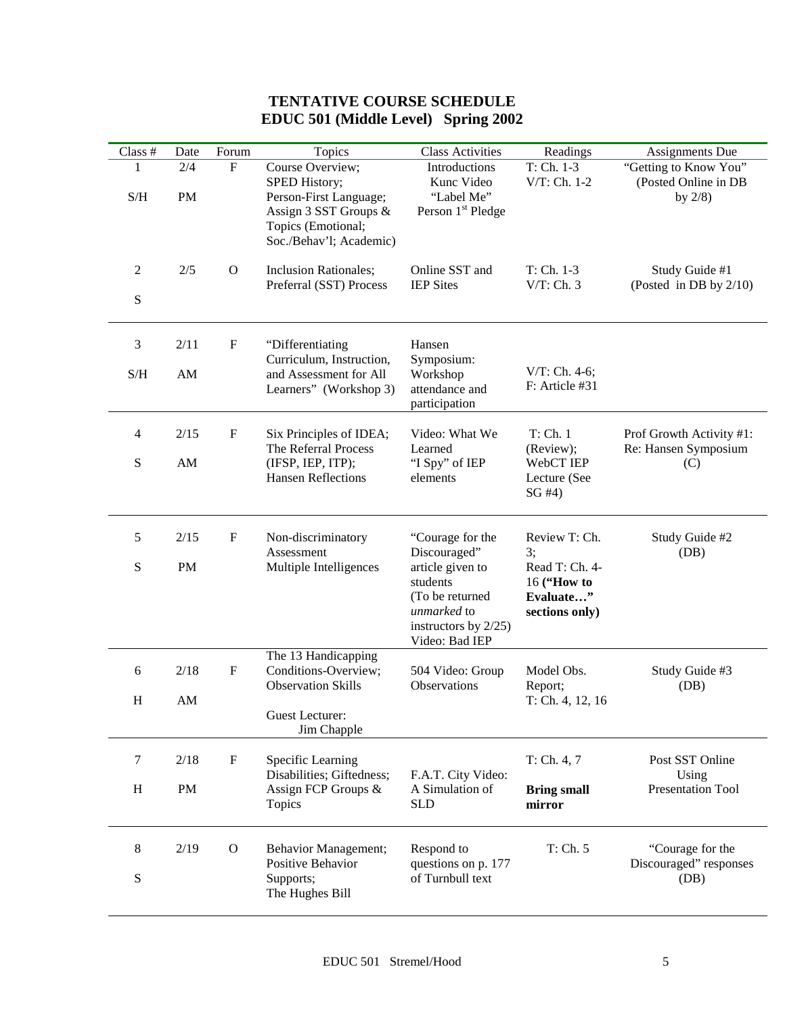# **TENTATIVE COURSE SCHEDULE EDUC 501 (Middle Level) Spring 2002**

| Class #                                                | Date                   | Forum                     | Topics                                                                                                                                | <b>Class Activities</b>                                                                                  | Readings                                                     | Assignments Due                                             |
|--------------------------------------------------------|------------------------|---------------------------|---------------------------------------------------------------------------------------------------------------------------------------|----------------------------------------------------------------------------------------------------------|--------------------------------------------------------------|-------------------------------------------------------------|
| 1<br>$\ensuremath{\mathrm{S}}/\ensuremath{\mathrm{H}}$ | 2/4<br>PM              | ${\bf F}$                 | Course Overview;<br>SPED History;<br>Person-First Language;<br>Assign 3 SST Groups &<br>Topics (Emotional;<br>Soc./Behav'l; Academic) | Introductions<br>Kunc Video<br>"Label Me"<br>Person 1 <sup>st</sup> Pledge                               | $T: Ch. 1-3$<br>V/T: Ch. 1-2                                 | "Getting to Know You"<br>(Posted Online in DB<br>by $2/8$ ) |
| $\overline{2}$<br>${\bf S}$                            | 2/5                    | $\mathbf{O}$              | <b>Inclusion Rationales;</b><br>Preferral (SST) Process                                                                               | Online SST and<br><b>IEP</b> Sites                                                                       | $T: Ch. 1-3$<br>$V/T$ : Ch. 3                                | Study Guide #1<br>(Posted in DB by 2/10)                    |
| 3                                                      | 2/11                   | $\boldsymbol{\mathrm{F}}$ | "Differentiating<br>Curriculum, Instruction,                                                                                          | Hansen<br>Symposium:                                                                                     |                                                              |                                                             |
| S/H                                                    | AM                     |                           | and Assessment for All<br>Learners" (Workshop 3)                                                                                      | Workshop<br>attendance and<br>participation                                                              | $V/T$ : Ch. 4-6;<br>F: Article #31                           |                                                             |
| 4                                                      | 2/15                   | $\mathbf F$               | Six Principles of IDEA;<br>The Referral Process                                                                                       | Video: What We<br>Learned                                                                                | T: Ch. 1<br>(Review);                                        | Prof Growth Activity #1:<br>Re: Hansen Symposium            |
| S                                                      | $\mathbf{A}\mathbf{M}$ |                           | (IFSP, IEP, ITP);<br><b>Hansen Reflections</b>                                                                                        | "I Spy" of IEP<br>elements                                                                               | WebCT IEP<br>Lecture (See<br>SG#4)                           | (C)                                                         |
| 5                                                      | 2/15                   | $\boldsymbol{\mathrm{F}}$ | Non-discriminatory<br>Assessment                                                                                                      | "Courage for the<br>Discouraged"                                                                         | Review T: Ch.<br>3;                                          | Study Guide #2<br>(DB)                                      |
| S                                                      | PM                     |                           | Multiple Intelligences                                                                                                                | article given to<br>students<br>(To be returned<br>unmarked to<br>instructors by 2/25)<br>Video: Bad IEP | Read T: Ch. 4-<br>16 ("How to<br>Evaluate"<br>sections only) |                                                             |
| 6                                                      | 2/18                   | $\boldsymbol{\mathrm{F}}$ | The 13 Handicapping<br>Conditions-Overview;<br><b>Observation Skills</b>                                                              | 504 Video: Group<br>Observations                                                                         | Model Obs.<br>Report;                                        | Study Guide #3<br>(DB)                                      |
| H                                                      | AM                     |                           | Guest Lecturer:<br>Jim Chapple                                                                                                        |                                                                                                          | T: Ch. 4, 12, 16                                             |                                                             |
| 7                                                      | 2/18                   | $\mathbf F$               | Specific Learning<br>Disabilities; Giftedness;                                                                                        | F.A.T. City Video:                                                                                       | T: Ch. 4, 7                                                  | Post SST Online<br>Using                                    |
| H                                                      | PM                     |                           | Assign FCP Groups &<br>Topics                                                                                                         | A Simulation of<br><b>SLD</b>                                                                            | <b>Bring small</b><br>mirror                                 | Presentation Tool                                           |
| 8                                                      | 2/19                   | $\mathbf{O}$              | <b>Behavior Management;</b><br>Positive Behavior                                                                                      | Respond to<br>questions on p. 177                                                                        | T: Ch. 5                                                     | "Courage for the<br>Discouraged" responses                  |
| S                                                      |                        |                           | Supports;<br>The Hughes Bill                                                                                                          | of Turnbull text                                                                                         |                                                              | (DB)                                                        |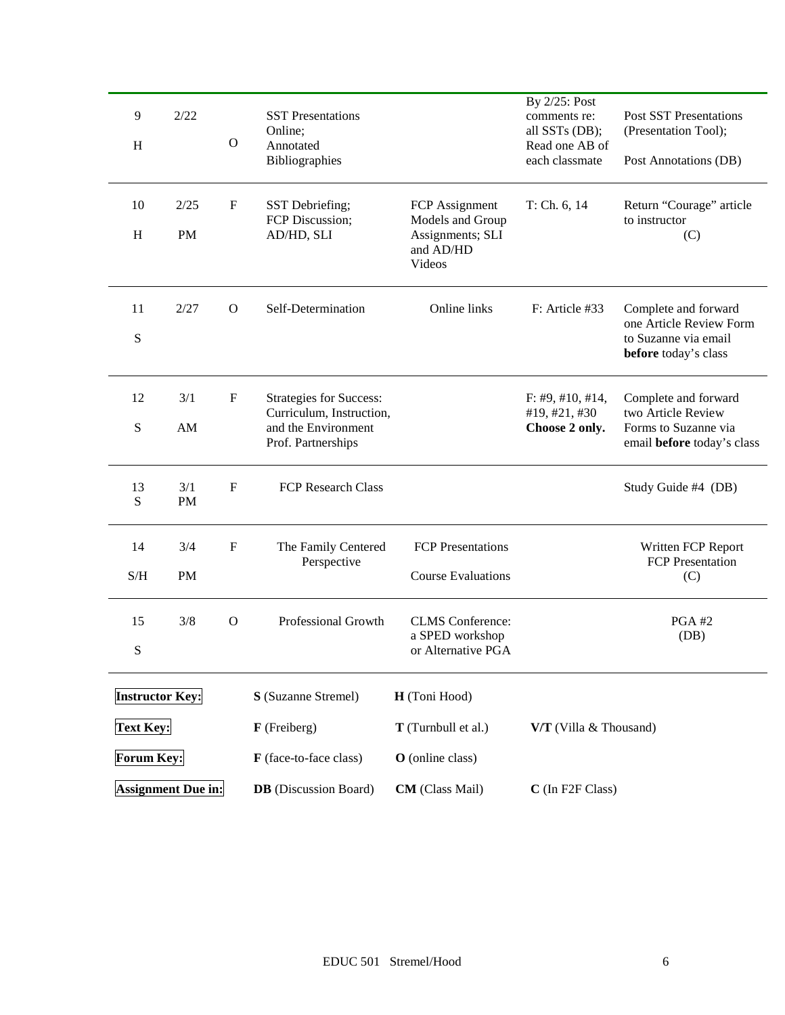| 9                         | 2/22                      |                           | <b>SST</b> Presentations                                   |                                         | By 2/25: Post<br>comments re:<br>all SSTs (DB); | <b>Post SST Presentations</b>                                           |  |
|---------------------------|---------------------------|---------------------------|------------------------------------------------------------|-----------------------------------------|-------------------------------------------------|-------------------------------------------------------------------------|--|
| H                         |                           | $\mathbf{O}$              | Online;<br>Annotated                                       |                                         | Read one AB of                                  | (Presentation Tool);                                                    |  |
|                           |                           |                           | Bibliographies                                             |                                         | each classmate                                  | Post Annotations (DB)                                                   |  |
| 10                        | 2/25                      | $\mathbf F$               | SST Debriefing;<br>FCP Discussion;                         | FCP Assignment<br>Models and Group      | T: Ch. 6, 14                                    | Return "Courage" article<br>to instructor                               |  |
| $\boldsymbol{\mathrm{H}}$ | PM                        |                           | AD/HD, SLI                                                 | Assignments; SLI<br>and AD/HD<br>Videos |                                                 | (C)                                                                     |  |
| 11                        | 2/27                      | $\Omega$                  | Self-Determination                                         | Online links                            | F: Article #33                                  | Complete and forward                                                    |  |
| S                         |                           |                           |                                                            |                                         |                                                 | one Article Review Form<br>to Suzanne via email<br>before today's class |  |
| 12                        | 3/1                       | $\mathbf F$               | <b>Strategies for Success:</b><br>Curriculum, Instruction, |                                         | F: #9, #10, #14,<br>#19, #21, #30               | Complete and forward<br>two Article Review                              |  |
| ${\bf S}$                 | AM                        |                           | and the Environment<br>Prof. Partnerships                  |                                         | Choose 2 only.                                  | Forms to Suzanne via<br>email before today's class                      |  |
| 13<br>S                   | 3/1<br><b>PM</b>          | $\mathbf F$               | <b>FCP Research Class</b>                                  |                                         |                                                 | Study Guide #4 (DB)                                                     |  |
| 14                        | 3/4                       | $\boldsymbol{\mathrm{F}}$ | The Family Centered<br>Perspective                         | <b>FCP</b> Presentations                |                                                 | Written FCP Report<br><b>FCP</b> Presentation                           |  |
| S/H                       | PM                        |                           |                                                            | <b>Course Evaluations</b>               |                                                 | (C)                                                                     |  |
| 15                        | 3/8                       | $\mathbf{O}$              | Professional Growth                                        | <b>CLMS</b> Conference:                 |                                                 | <b>PGA#2</b>                                                            |  |
| ${\bf S}$                 |                           |                           |                                                            | a SPED workshop<br>or Alternative PGA   |                                                 | (DB)                                                                    |  |
| <b>Instructor Key:</b>    |                           |                           | S (Suzanne Stremel)                                        | H (Toni Hood)                           |                                                 |                                                                         |  |
| <b>Text Key:</b>          |                           |                           | $\mathbf F$ (Freiberg)                                     | T (Turnbull et al.)                     | V/T (Villa & Thousand)                          |                                                                         |  |
| <b>Forum Key:</b>         |                           |                           | F (face-to-face class)                                     | O (online class)                        |                                                 |                                                                         |  |
|                           | <b>Assignment Due in:</b> |                           | <b>DB</b> (Discussion Board)                               | <b>CM</b> (Class Mail)                  | C (In F2F Class)                                |                                                                         |  |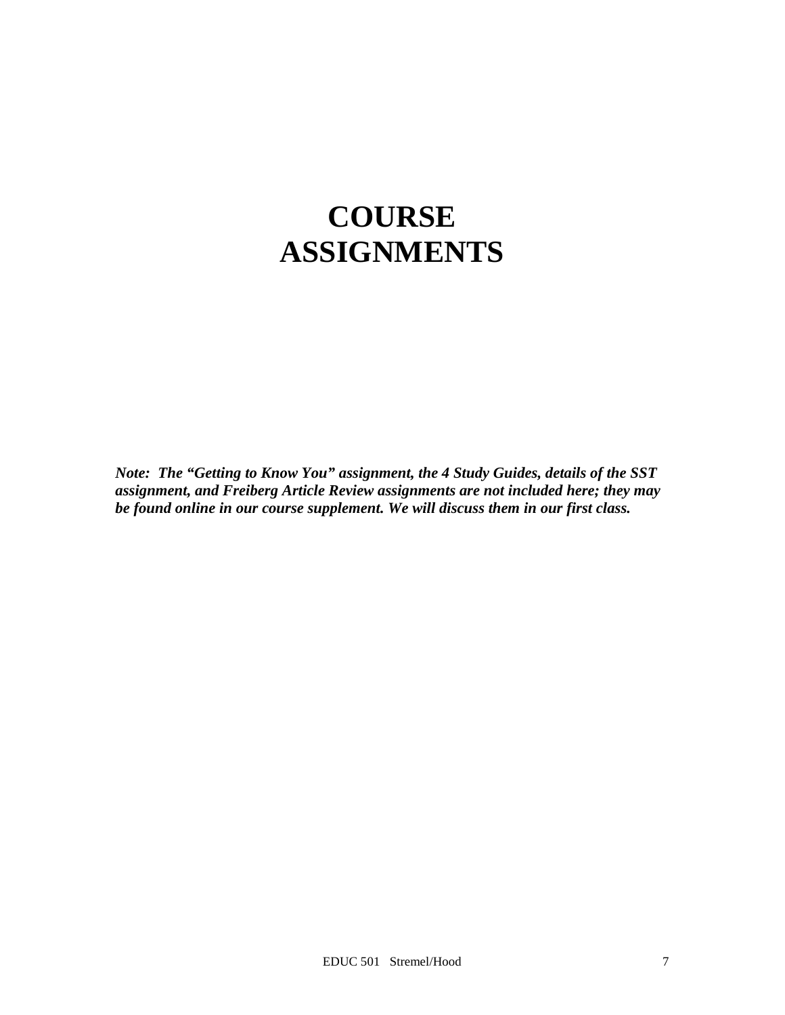# **COURSE ASSIGNMENTS**

*Note: The "Getting to Know You" assignment, the 4 Study Guides, details of the SST assignment, and Freiberg Article Review assignments are not included here; they may be found online in our course supplement. We will discuss them in our first class.*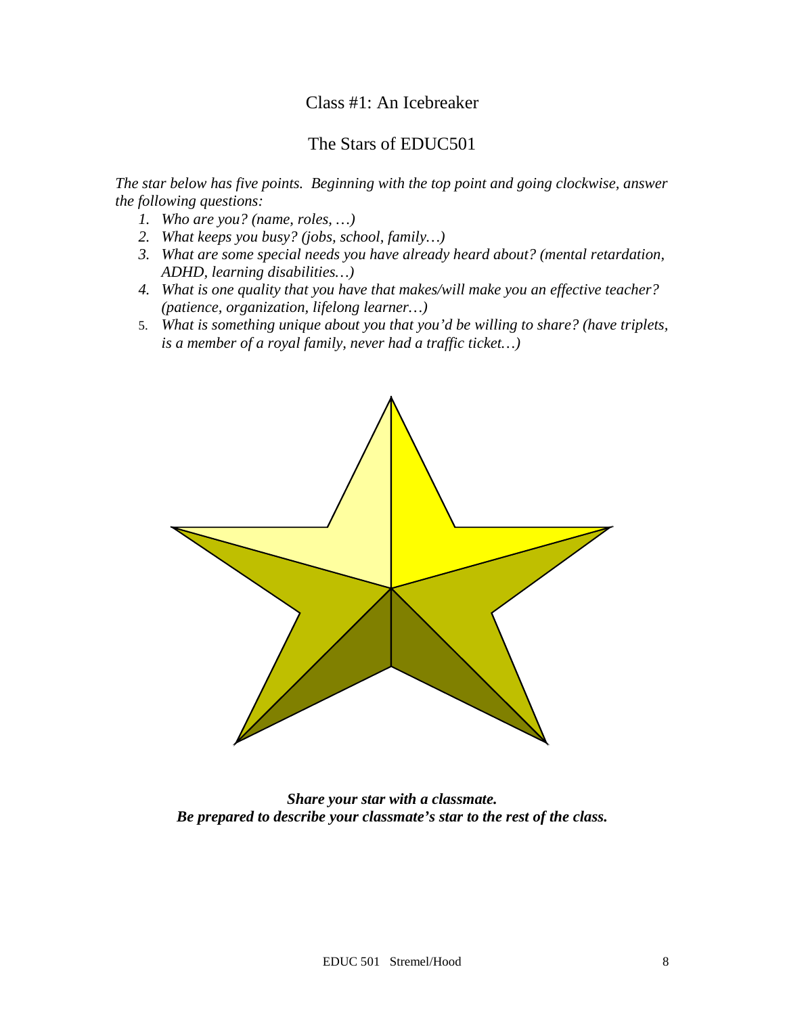# Class #1: An Icebreaker

# The Stars of EDUC501

*The star below has five points. Beginning with the top point and going clockwise, answer the following questions:*

- *1. Who are you? (name, roles, …)*
- *2. What keeps you busy? (jobs, school, family…)*
- *3. What are some special needs you have already heard about? (mental retardation, ADHD, learning disabilities…)*
- *4. What is one quality that you have that makes/will make you an effective teacher? (patience, organization, lifelong learner…)*
- 5. *What is something unique about you that you'd be willing to share? (have triplets, is a member of a royal family, never had a traffic ticket…)*



*Share your star with a classmate. Be prepared to describe your classmate's star to the rest of the class.*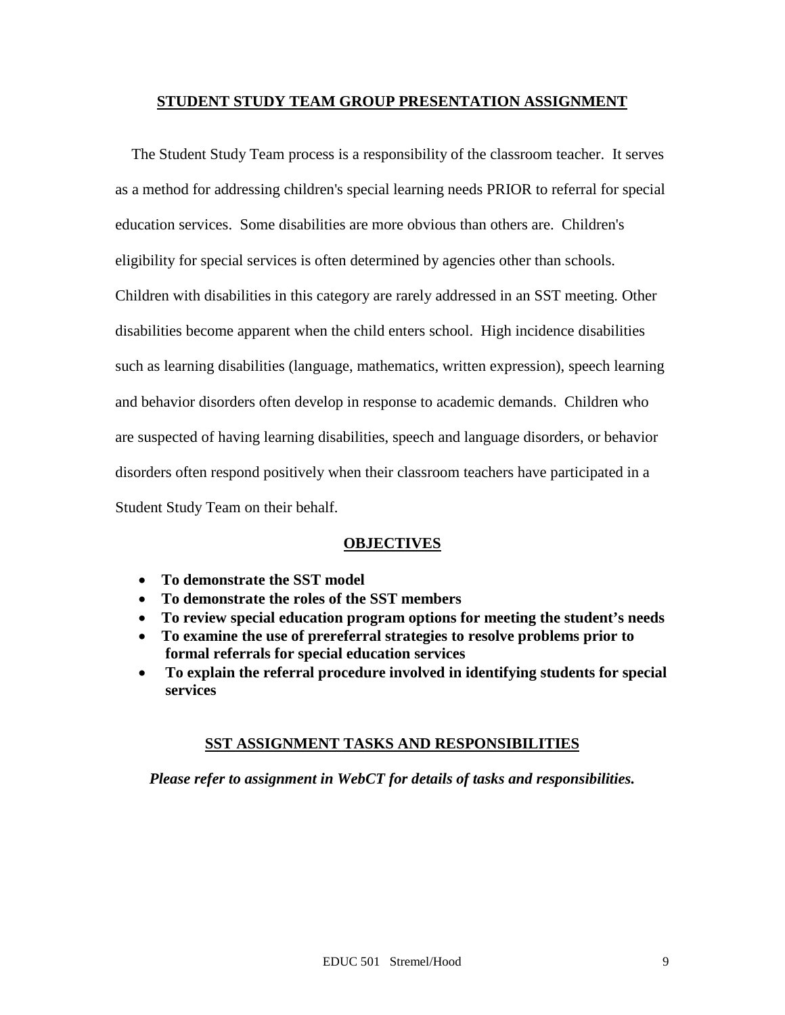## **STUDENT STUDY TEAM GROUP PRESENTATION ASSIGNMENT**

 The Student Study Team process is a responsibility of the classroom teacher. It serves as a method for addressing children's special learning needs PRIOR to referral for special education services. Some disabilities are more obvious than others are. Children's eligibility for special services is often determined by agencies other than schools. Children with disabilities in this category are rarely addressed in an SST meeting. Other disabilities become apparent when the child enters school. High incidence disabilities such as learning disabilities (language, mathematics, written expression), speech learning and behavior disorders often develop in response to academic demands. Children who are suspected of having learning disabilities, speech and language disorders, or behavior disorders often respond positively when their classroom teachers have participated in a Student Study Team on their behalf.

## **OBJECTIVES**

- **To demonstrate the SST model**
- **To demonstrate the roles of the SST members**
- **To review special education program options for meeting the student's needs**
- **To examine the use of prereferral strategies to resolve problems prior to formal referrals for special education services**
- **To explain the referral procedure involved in identifying students for special services**

## **SST ASSIGNMENT TASKS AND RESPONSIBILITIES**

*Please refer to assignment in WebCT for details of tasks and responsibilities.*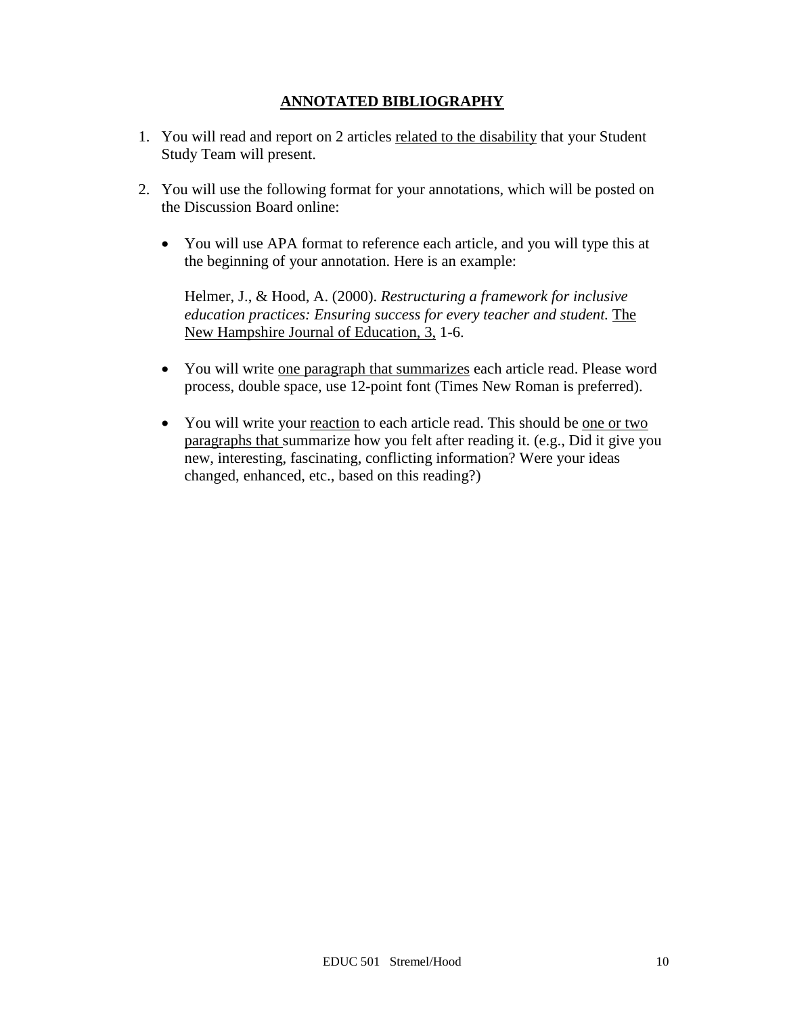# **ANNOTATED BIBLIOGRAPHY**

- 1. You will read and report on 2 articles related to the disability that your Student Study Team will present.
- 2. You will use the following format for your annotations, which will be posted on the Discussion Board online:
	- You will use APA format to reference each article, and you will type this at the beginning of your annotation. Here is an example:

Helmer, J., & Hood, A. (2000). *Restructuring a framework for inclusive education practices: Ensuring success for every teacher and student.* The New Hampshire Journal of Education, 3, 1-6.

- You will write one paragraph that summarizes each article read. Please word process, double space, use 12-point font (Times New Roman is preferred).
- You will write your reaction to each article read. This should be one or two paragraphs that summarize how you felt after reading it. (e.g., Did it give you new, interesting, fascinating, conflicting information? Were your ideas changed, enhanced, etc., based on this reading?)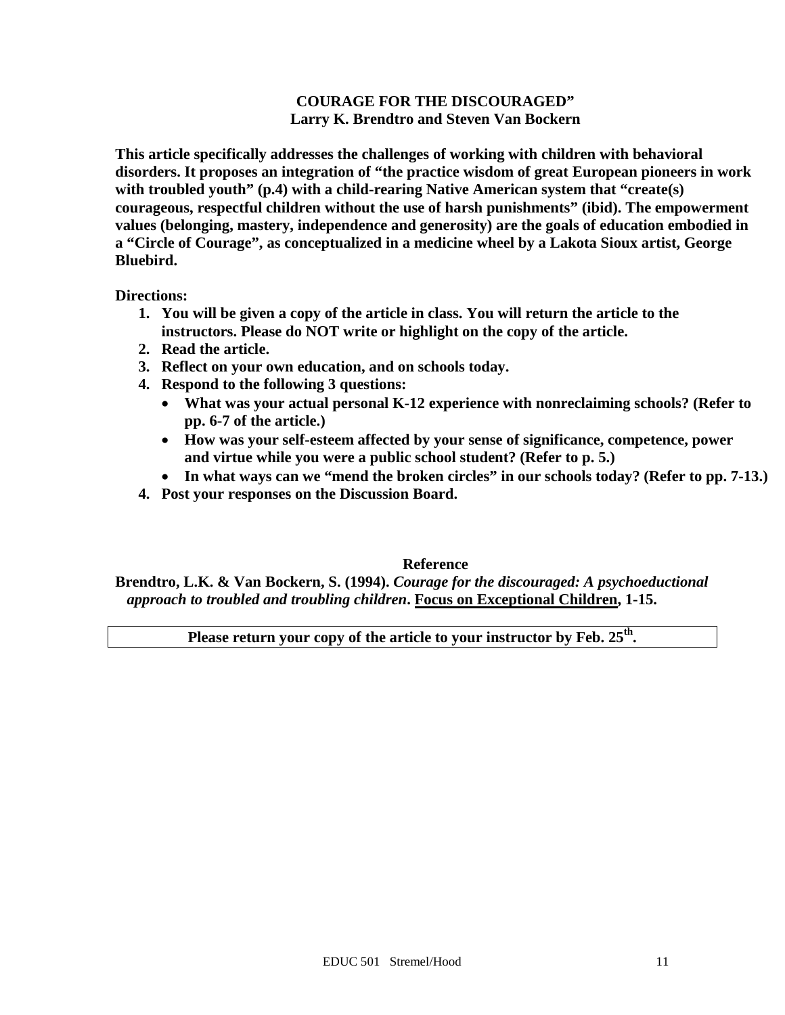## **COURAGE FOR THE DISCOURAGED" Larry K. Brendtro and Steven Van Bockern**

**This article specifically addresses the challenges of working with children with behavioral disorders. It proposes an integration of "the practice wisdom of great European pioneers in work with troubled youth" (p.4) with a child-rearing Native American system that "create(s) courageous, respectful children without the use of harsh punishments" (ibid). The empowerment values (belonging, mastery, independence and generosity) are the goals of education embodied in a "Circle of Courage", as conceptualized in a medicine wheel by a Lakota Sioux artist, George Bluebird.**

**Directions:**

- **1. You will be given a copy of the article in class. You will return the article to the instructors. Please do NOT write or highlight on the copy of the article.**
- **2. Read the article.**
- **3. Reflect on your own education, and on schools today.**
- **4. Respond to the following 3 questions:**
	- **What was your actual personal K-12 experience with nonreclaiming schools? (Refer to pp. 6-7 of the article.)**
	- **How was your self-esteem affected by your sense of significance, competence, power and virtue while you were a public school student? (Refer to p. 5.)**
	- **In what ways can we "mend the broken circles" in our schools today? (Refer to pp. 7-13.)**
- **4. Post your responses on the Discussion Board.**

## **Reference**

**Brendtro, L.K. & Van Bockern, S. (1994).** *Courage for the discouraged: A psychoeductional approach to troubled and troubling children***. Focus on Exceptional Children, 1-15.**

Please return your copy of the article to your instructor by Feb. 25<sup>th</sup>.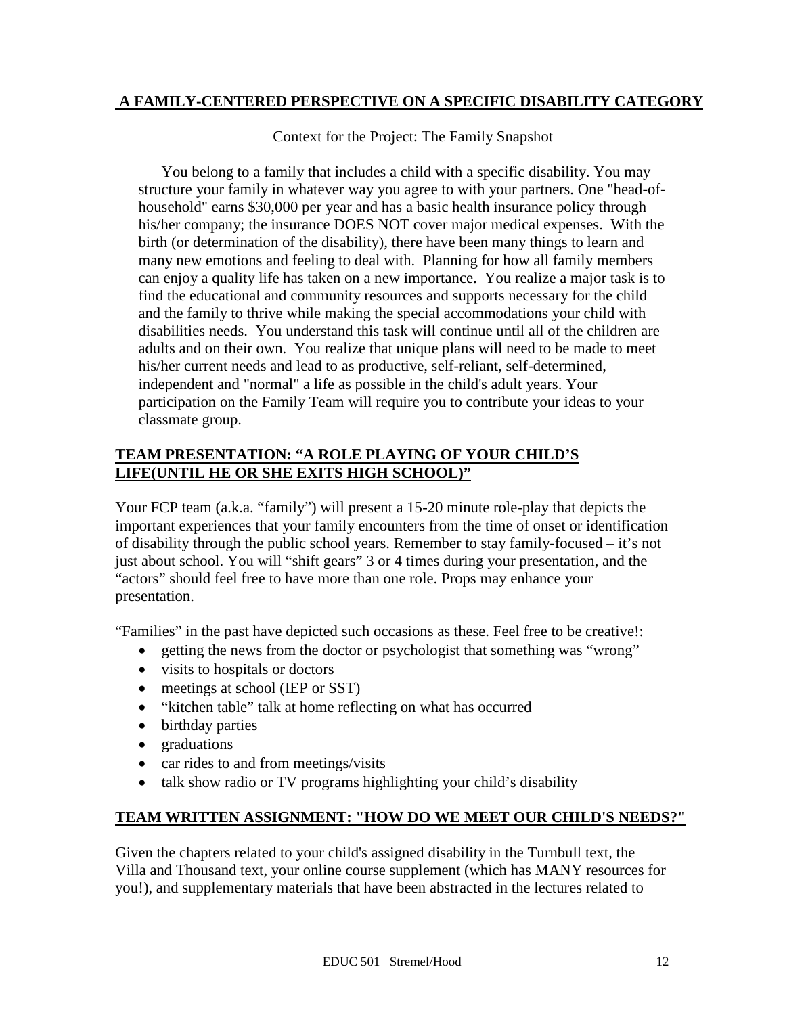# **A FAMILY-CENTERED PERSPECTIVE ON A SPECIFIC DISABILITY CATEGORY**

Context for the Project: The Family Snapshot

You belong to a family that includes a child with a specific disability. You may structure your family in whatever way you agree to with your partners. One "head-ofhousehold" earns \$30,000 per year and has a basic health insurance policy through his/her company; the insurance DOES NOT cover major medical expenses. With the birth (or determination of the disability), there have been many things to learn and many new emotions and feeling to deal with. Planning for how all family members can enjoy a quality life has taken on a new importance. You realize a major task is to find the educational and community resources and supports necessary for the child and the family to thrive while making the special accommodations your child with disabilities needs. You understand this task will continue until all of the children are adults and on their own. You realize that unique plans will need to be made to meet his/her current needs and lead to as productive, self-reliant, self-determined, independent and "normal" a life as possible in the child's adult years. Your participation on the Family Team will require you to contribute your ideas to your classmate group.

# **TEAM PRESENTATION: "A ROLE PLAYING OF YOUR CHILD'S LIFE(UNTIL HE OR SHE EXITS HIGH SCHOOL)"**

Your FCP team (a.k.a. "family") will present a 15-20 minute role-play that depicts the important experiences that your family encounters from the time of onset or identification of disability through the public school years. Remember to stay family-focused – it's not just about school. You will "shift gears" 3 or 4 times during your presentation, and the "actors" should feel free to have more than one role. Props may enhance your presentation.

"Families" in the past have depicted such occasions as these. Feel free to be creative!:

- getting the news from the doctor or psychologist that something was "wrong"
- visits to hospitals or doctors
- meetings at school (IEP or SST)
- "kitchen table" talk at home reflecting on what has occurred
- birthday parties
- graduations
- car rides to and from meetings/visits
- talk show radio or TV programs highlighting your child's disability

# **TEAM WRITTEN ASSIGNMENT: "HOW DO WE MEET OUR CHILD'S NEEDS?"**

Given the chapters related to your child's assigned disability in the Turnbull text, the Villa and Thousand text, your online course supplement (which has MANY resources for you!), and supplementary materials that have been abstracted in the lectures related to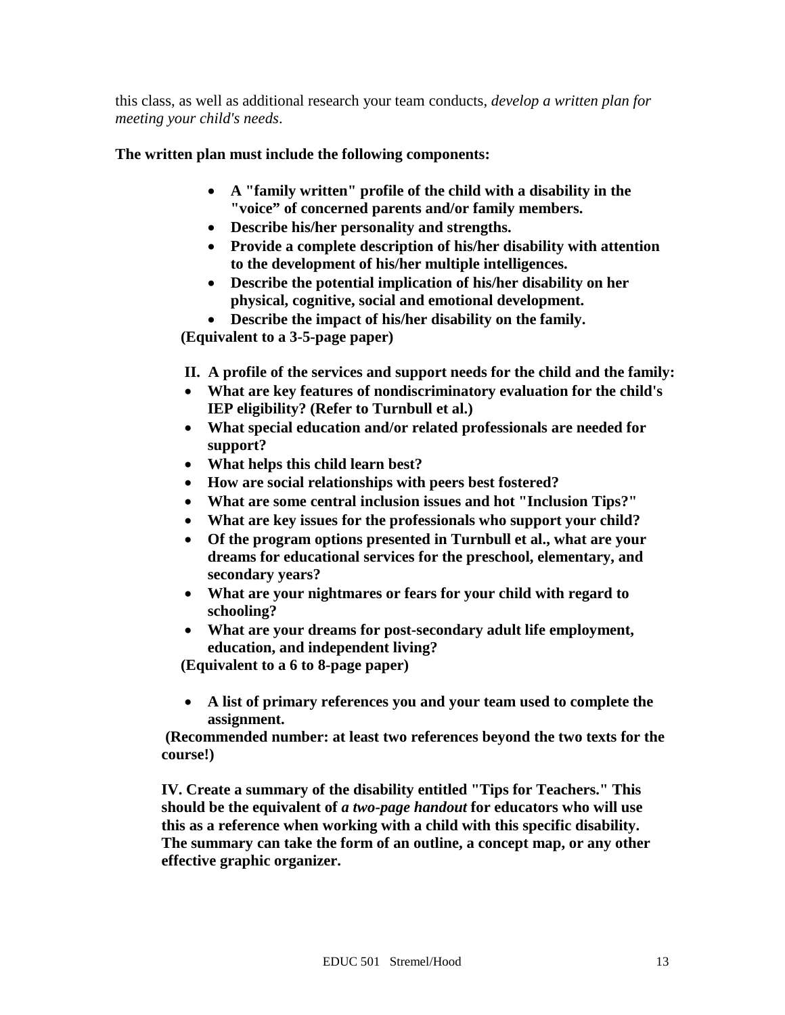this class, as well as additional research your team conducts, *develop a written plan for meeting your child's needs*.

**The written plan must include the following components:** 

- **A "family written" profile of the child with a disability in the "voice" of concerned parents and/or family members.**
- **Describe his/her personality and strengths.**
- **Provide a complete description of his/her disability with attention to the development of his/her multiple intelligences.**
- **Describe the potential implication of his/her disability on her physical, cognitive, social and emotional development.**
- **Describe the impact of his/her disability on the family.**

 **(Equivalent to a 3-5-page paper)** 

**II. A profile of the services and support needs for the child and the family:**

- **What are key features of nondiscriminatory evaluation for the child's IEP eligibility? (Refer to Turnbull et al.)**
- **What special education and/or related professionals are needed for support?**
- **What helps this child learn best?**
- **How are social relationships with peers best fostered?**
- **What are some central inclusion issues and hot "Inclusion Tips?"**
- **What are key issues for the professionals who support your child?**
- **Of the program options presented in Turnbull et al., what are your dreams for educational services for the preschool, elementary, and secondary years?**
- **What are your nightmares or fears for your child with regard to schooling?**
- **What are your dreams for post-secondary adult life employment, education, and independent living?**

 **(Equivalent to a 6 to 8-page paper)** 

• **A list of primary references you and your team used to complete the assignment.** 

**(Recommended number: at least two references beyond the two texts for the course!)** 

**IV. Create a summary of the disability entitled "Tips for Teachers." This should be the equivalent of** *a two-page handout* **for educators who will use this as a reference when working with a child with this specific disability. The summary can take the form of an outline, a concept map, or any other effective graphic organizer.**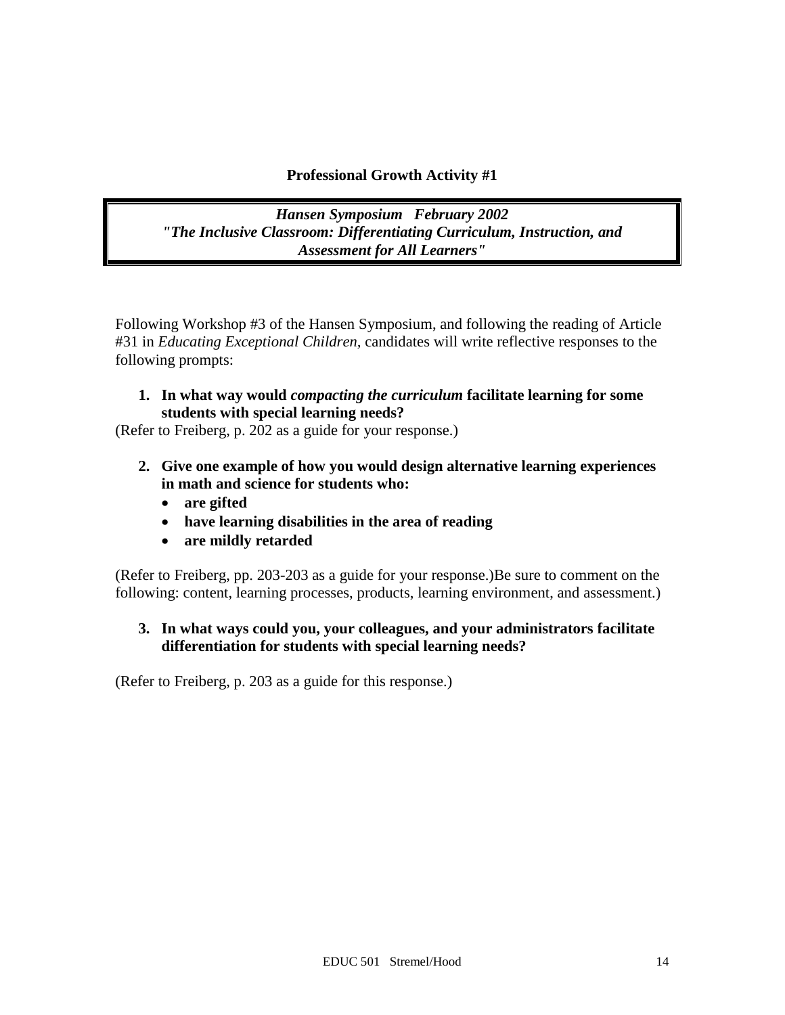# **Professional Growth Activity #1**

*Hansen Symposium February 2002 "The Inclusive Classroom: Differentiating Curriculum, Instruction, and Assessment for All Learners"*

Following Workshop #3 of the Hansen Symposium, and following the reading of Article #31 in *Educating Exceptional Children,* candidates will write reflective responses to the following prompts:

**1. In what way would** *compacting the curriculum* **facilitate learning for some students with special learning needs?**

(Refer to Freiberg, p. 202 as a guide for your response.)

- **2. Give one example of how you would design alternative learning experiences in math and science for students who:**
	- **are gifted**
	- **have learning disabilities in the area of reading**
	- **are mildly retarded**

(Refer to Freiberg, pp. 203-203 as a guide for your response.)Be sure to comment on the following: content, learning processes, products, learning environment, and assessment.)

**3. In what ways could you, your colleagues, and your administrators facilitate differentiation for students with special learning needs?** 

(Refer to Freiberg, p. 203 as a guide for this response.)